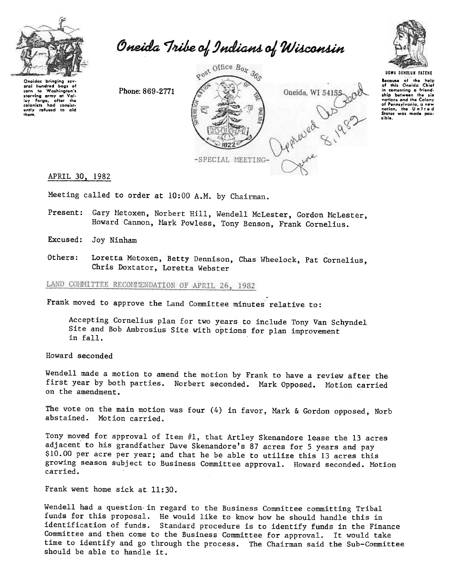

Oneida Tribe of Indians of Wisconsin

Oneidas bringing sev eral hundred baas o corn to Washington's corn to washington's<br>starving army at Vai-<br>ley Forge, after the<br>colonists had consist-<br>ently refused to aid<br>them.

Phone: 869-2771





UGWA BEHOLUN YATENE Because of the help<br>of this Oneida Chief in comenting a friendship between the six<br>nations and the Colony of Pennsylvania, a new<br>nation, the United<br>States was made possible.

## APRIL 30, 1982

Meeting called to order at 10:00 A.M. by Chairman.

- Present: Gary Metoxen, Norbert Hill, Wendell McLester, Gordon McLester, Howard Cannon, Mark Powless, Tony Benson, Frank Cornelius.
- Excused: Joy Ninham
- Others: Loretta Metoxen, Betty Dennison, Chas Wheelock, Pat Cornelius, Chris Doxtator, Loretta Webster

LAND COMMITTEE RECOMMENDATION OF APRIL 26, 1982

Frank moved to approve the Land Committee minutes relative to:

Accepting Cornelius plan for two years to include Tony Van Schyndel Site and Bob Ambrosius Site with options for plan improvement  $in$   $fall.$ 

Howard seconded

Wendell made a motion to amend the motion by Frank to have a review after the first year by both parties. Norbert seconded. Mark Opposed. Motion carried on the amendment.

The vote on the main motion was four (4) in favor, Mark & Gordon opposed, Norb abstained. Motion carried.

Tony moved for approval of Item #1, that Artley Skenandore lease the 13 acres adjacent to his grandfather Dave Skenandore's 87 acres for 5 years and pay \$10.00 per acre per year; and that he be able to utilize this 13 acres this growing season subject to Business Committee approval. Howard seconded. Motion carried.

Frank went home sick at 11:30.

Wendell had a question in regard to the Business Committee committing Tribal funds for this proposal. He would like to know how he should handle this in identification of funds. Standard procedure is to identify funds in the Finance Committee and then come to the Business Committee for approval. It would take time to identify and go through the process. The Chairman said the Sub-Committee should be able to handle it.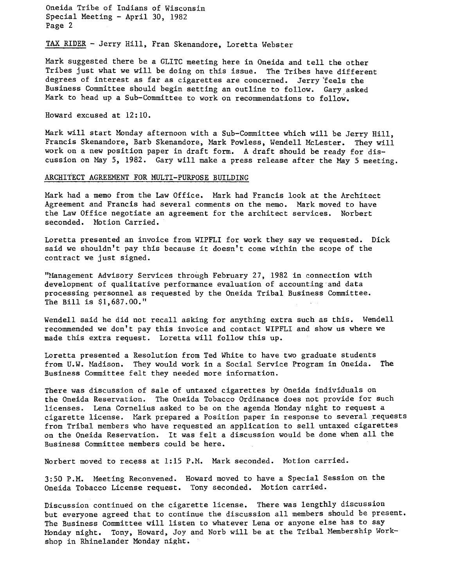Oneida Tribe of Indians of Wisconsin Special Meeting - April 30, 1982 Page 2

TAX RIDER -Jerry Hill, Fran Skenandore, Loretta Webster

Mark suggested there be a GLITC meeting here in Oneida and tell the other Tribes just what we will be doing on this issue. The Tribes have different degrees of interest as far as cigarettes are concerned. Jerry 'feels the Business Committee should begin setting an outline to follow. Gary asked Mark to head up a Sub-Committee to work on recommendations to follow.

Howard excused at 12:10.

Mark will start Monday afternoon with a Sub-Committee which will be Jerry Hill, Francis Skenandore, Barb Skenandore, Mark Powless, Wendell McLester. They will work on a new position paper in draft form. A draft should be ready for discussion on May 5, 1982. Gary will make a press release after the May 5 meeting.

## ARCHITECT AGREEMENT FOR MULTI-PURPOSE BUILDING

Mark had a memo from the Law Office. Mark had Francis look at the Architect Agreement and Francis had several comments on the memo. Mark moved to have the Law Office negotiate an agreement for the architect services. Norbert seconded. Motion Carried.

Loretta presented an invoice from WIPFLI for work they say we requested. Dick said we shouldn't pay this because it doesn't come within the scope of the contract we just signed.

"Management Advisory Services through February 27, 1982 in connection with development of qualitative performance evaluation of accounting'and data processing personnel as requested by the Oneida Tribal Business Committee. The Bill is \$1,687.00.'1

Wendell said he did not recall asking for anything extra such as this. Wendell recommended we don't pay this invoice and contact WIPFLI and show us where we made this extra request. Loretta will follow this up.

Loretta presented a Resolution from Ted White to have two graduate students from U.W. Madison. They would work in a Social Service Program in Oneida. The Business Committee felt they needed more information.

There was discussion of sale of untaxed cigarettes by Oneida individuals on the Oneida Reservation. The Oneida Tobacco Ordinance does not provide for such licenses. Lena Cornelius asked to be on the agenda Monday night to request a cigarette license. Mark prepared a Position paper in response to several requests from Tribal members who have requested an application to sell untaxed cigarettes on the Oneida Reservation. It was felt a discussion would be done when all the Business Committee members could be here.

Norbert moved to recess at 1:15 P.M. Mark seconded. Motion carried.

3:50 P.M. Meeting Reconvened. Howard moved to have a Special Session on the Oneida Tobacco License request. Tony seconded. Motion carri

Discussion continued on the cigarette license. There was lengthly discussion but everyone agreed that to continue the discussion all members should be present. The Business Committee will listen to whatever Lena or anyone else has to say Monday night. Tony, Howard, Joy and Norb will be at the Tribal Membership Workshop in Rhinelander MOnday night.